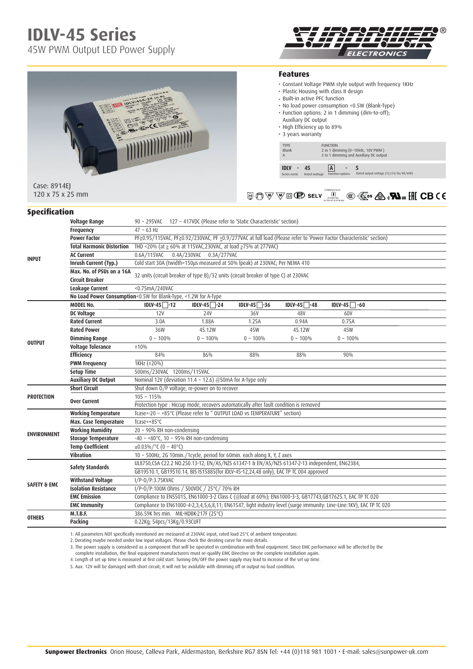# **IDLV-45 Series**

45W PWM Output LED Power Supply



### **Features**

- Constant Voltage PWM style output with frequency 1KHz
- Plastic Housing with class II design
- Built-in active PFC function
- No load power consumption <0.5W (Blank-Type)
- Function options: 2 in 1 dimming (dim-to-off); Auxiliary DC output

Blank 2 in 1 dimming (0~10Vdc, 10V PWM ) A 2 in 1 dimming and Auxiliary DC output

• High Efficiency up to 89%

TYPE<br>
Blank<br>
A
2 in 1 dim<br>
2 in 1 dim

**IDLV** - 45 **A** 

• 3 years warranty

| IDLV-45A-24 (=)<br>Class 2 Power Supply<br>OUTFUT . Vo: Delegation of the North America<br>INPUTING - 1<br>œ<br>警<br>$\sqrt{\epsilon \pi/n}$<br><b>UIJa</b><br>%<br>в<br><b>ALTIJA</b><br>틯<br>$\Box$<br>$\sqrt{\pi n}$<br><b>CID</b> <sup>op</sup><br>Co. Alm Ros CE<br>×<br><b>CID</b> ®<br>×<br>$\frac{1}{2}$<br>$\lambda$<br>$g_{111}$ | LEDE 24 9. EL<br>199-2494 - B.PA SOLOMIT<br><b>MONTH TO LONG CHANGER A. M.J.</b><br>Hate & Downt (Str St. do as) AS 1200<br>Nated you is all for cut modelin as will<br><b>COLLEGE COLLEGE COLLEGE COLLEGE COLLEGE COLLEGE COLLEGE COLLEGE COLLEGE COLLEGE COLLEGE COLLEGE COLLEGE COLLEGE</b><br>BELV<br><b>The Commission Commission Commission</b><br>NAME OF TAXABLE PARTIES |
|--------------------------------------------------------------------------------------------------------------------------------------------------------------------------------------------------------------------------------------------------------------------------------------------------------------------------------------------|----------------------------------------------------------------------------------------------------------------------------------------------------------------------------------------------------------------------------------------------------------------------------------------------------------------------------------------------------------------------------------|
| Case: 8914EJ                                                                                                                                                                                                                                                                                                                               |                                                                                                                                                                                                                                                                                                                                                                                  |

120 x 75 x 25 mm

#### S&E **IS 15885(Part 2/Sec13) R-41027766** (for IDLV-45-12,24,48 only)

 $5$ Rated output voltage (12/24/36/48/60V)

| <b>Specification</b> |
|----------------------|
|----------------------|

| <b>INPUT</b>            | <b>Voltage Range</b>                                            | 90 ~ 295VAC 127 ~ 417VDC (Please refer to 'Static Characteristic' section)                                                                                    |                |                 |               |                 |  |  |
|-------------------------|-----------------------------------------------------------------|---------------------------------------------------------------------------------------------------------------------------------------------------------------|----------------|-----------------|---------------|-----------------|--|--|
|                         | <b>Frequency</b>                                                | $47 \sim 63$ Hz                                                                                                                                               |                |                 |               |                 |  |  |
|                         | <b>Power Factor</b>                                             | PF≧0.95/115VAC, PF≧0.92/230VAC, PF ≥0.9/277VAC at full load (Please refer to 'Power Factor Characteristic' section)                                           |                |                 |               |                 |  |  |
|                         | <b>Total Harmonic Distortion</b>                                | THD <20% (at ≥ 60% at 115VAC,230VAC, at load ≥75% at 277VAC)                                                                                                  |                |                 |               |                 |  |  |
|                         | <b>AC Current</b>                                               | 0.6A/115VAC 0.4A/230VAC 0.3A/277VAC                                                                                                                           |                |                 |               |                 |  |  |
|                         | Inrush Current (Typ.)                                           | Cold start 30A (twidth=150µs measured at 50% lpeak) at 230VAC; Per NEMA 410                                                                                   |                |                 |               |                 |  |  |
|                         | Max. No. of PSUs on a 16A                                       | 32 units (circuit breaker of type B)/32 units (circuit breaker of type C) at 230VAC                                                                           |                |                 |               |                 |  |  |
|                         | <b>Circuit Breaker</b>                                          |                                                                                                                                                               |                |                 |               |                 |  |  |
|                         | Leakage Current                                                 | <0.75mA/240VAC                                                                                                                                                |                |                 |               |                 |  |  |
|                         | No Load Power Consumption<0.5W for Blank-Type, <1.2W for A-Type |                                                                                                                                                               |                |                 |               |                 |  |  |
|                         | <b>MODEL No.</b>                                                | $IDIV-45$ -12                                                                                                                                                 | $IDLV-45$ -24  | $IDIV-45$ $-36$ | $IDLV-45$ -48 | $IDLV-45$ $-60$ |  |  |
|                         | DC Voltage                                                      | 12V                                                                                                                                                           | <b>24V</b>     | 36V             | 48V           | 60V             |  |  |
|                         | <b>Rated Current</b>                                            | 3.0A                                                                                                                                                          | 1.88A          | 1.25A           | 0.94A         | 0.75A           |  |  |
|                         | <b>Rated Power</b>                                              | 36W                                                                                                                                                           | 45.12W         | 45W             | 45.12W        | 45W             |  |  |
| <b>OUTPUT</b>           | <b>Dimming Range</b>                                            | $0 \sim 100\%$                                                                                                                                                | $0 \sim 100\%$ | $0 - 100\%$     | $0 - 100%$    | $0 \sim 100\%$  |  |  |
|                         | <b>Voltage Tolerance</b>                                        | ±10%                                                                                                                                                          |                |                 |               |                 |  |  |
|                         | <b>Efficiency</b>                                               | 84%                                                                                                                                                           | 86%            | 88%             | 88%           | 90%             |  |  |
|                         | <b>PWM Frequency</b>                                            | 1KHz (±20%)                                                                                                                                                   |                |                 |               |                 |  |  |
|                         | <b>Setup Time</b>                                               | 500ms/230VAC 1200ms/115VAC                                                                                                                                    |                |                 |               |                 |  |  |
|                         | <b>Auxiliary DC Output</b>                                      | Nominal 12V (deviation 11.4 ~ 12.6) @50mA for A-Type only                                                                                                     |                |                 |               |                 |  |  |
|                         | <b>Short Circuit</b>                                            | Shut down O/P voltage, re-power on to recover                                                                                                                 |                |                 |               |                 |  |  |
| <b>PROTECTION</b>       | <b>Over Current</b>                                             | $105 - 115%$                                                                                                                                                  |                |                 |               |                 |  |  |
|                         |                                                                 | Protection type : Hiccup mode, recovers automatically after fault condition is removed                                                                        |                |                 |               |                 |  |  |
|                         | <b>Working Temperature</b>                                      | Tcase=-20 ~ +85°C (Please refer to " OUTPUT LOAD vs TEMPERATURE" section)                                                                                     |                |                 |               |                 |  |  |
|                         | Max. Case Temperature                                           | Tcase=+85°C                                                                                                                                                   |                |                 |               |                 |  |  |
| <b>ENVIRONMENT</b>      | <b>Working Humidity</b>                                         | 20 ~ 90% RH non-condensing                                                                                                                                    |                |                 |               |                 |  |  |
|                         | <b>Storage Temperature</b>                                      | $-40 \sim +80$ °C, 10 ~ 95% RH non-condensing                                                                                                                 |                |                 |               |                 |  |  |
|                         | <b>Temp Coefficient</b>                                         | $\pm 0.03\%$ /°C (0 ~ 40°C)                                                                                                                                   |                |                 |               |                 |  |  |
|                         | Vibration                                                       | 10 ~ 500Hz, 2G 10min./1cycle, period for 60min. each along X, Y, Z axes                                                                                       |                |                 |               |                 |  |  |
|                         | <b>Safety Standards</b>                                         | UL8750,CSA C22.2 NO.250.13-12; EN/AS/NZS 61347-1 & EN/AS/NZS 61347-2-13 independent, EN62384,                                                                 |                |                 |               |                 |  |  |
|                         |                                                                 | GB19510.1, GB19510.14, BIS IS15885(for IDLV-45-12,24,48 only), EAC TP TC 004 approved                                                                         |                |                 |               |                 |  |  |
| <b>SAFETY &amp; EMC</b> | <b>Withstand Voltage</b><br><b>Isolation Resistance</b>         | I/P-0/P:3.75KVAC                                                                                                                                              |                |                 |               |                 |  |  |
|                         |                                                                 | I/P-0/P:100M 0hms / 500VDC / 25°C/ 70% RH<br>Compliance to EN55015, EN61000-3-2 Class C (@load at 60%); EN61000-3-3, GB17743,GB17625.1, EAC TP TC 020         |                |                 |               |                 |  |  |
|                         | <b>EMC Emission</b>                                             |                                                                                                                                                               |                |                 |               |                 |  |  |
|                         | <b>EMC Immunity</b><br>M.T.B.F.                                 | Compliance to EN61000-4-2,3,4,5,6,8,11; EN61547, light industry level (surge immunity: Line-Line:1KV), EAC TP TC 020<br>386.59K hrs min. MIL-HDBK-217F (25°C) |                |                 |               |                 |  |  |
| <b>OTHERS</b>           | Packing                                                         | 0.22Kg; 54pcs/13Kg/0.93CUFT                                                                                                                                   |                |                 |               |                 |  |  |
|                         |                                                                 |                                                                                                                                                               |                |                 |               |                 |  |  |

1. All parameters NOT specifically mentioned are measured at 230VAC input, rated load 25°C of ambient temperature.<br>2. Derating maybe needed under low input voltages. Please check the derating curve for more details.<br>3. The

complete installation, the final equipment manufacturers must re-qualify EMC Directive on the complete installation again.

4. Length of set up time is measured at first cold start. Turning ON/OFF the power supply may lead to increase of the set up time.

5. Aux. 12V will be damaged with short circuit; it will not be available with dimming off or output no load condition.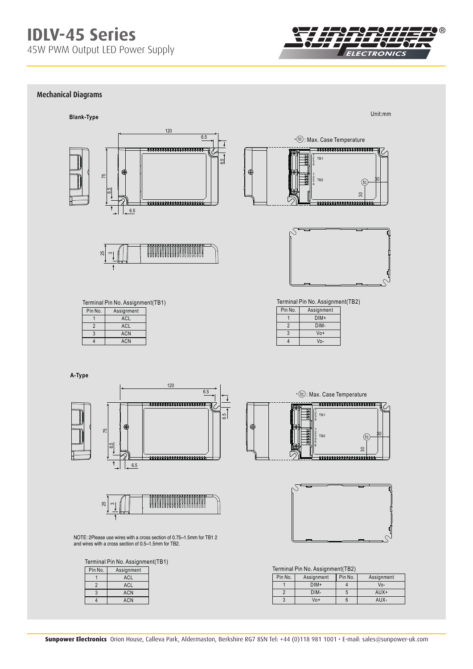

## **Power Factor Characteristic Mechanical Diagrams**





11111111111111111111 30 tc 5 0000000000000000000000



Terminal Pin No. Assignment(TB2)

| Pin No. | Assignment |
|---------|------------|
|         | DIM+       |
| 2       | DIM-       |
| 3       | $V_0+$     |
|         | Vo-        |
|         |            |



**A-Type**





NOTE: 2Please use wires with a cross section of 0.75~1.5mm for TB1 2 and wires with a cross section of 0.5~1.5mm for TB2.

Terminal Pin No. Assignment(TB1)

| Pin No.        | Assignment |
|----------------|------------|
|                | ACL        |
| $\overline{2}$ | ACL        |
| 3              | <b>ACN</b> |
|                | <b>ACN</b> |
|                |            |





Terminal Pin No. Assignment(TB2)

| Pin No. | Assignment | Pin No. | Assignment |  |  |
|---------|------------|---------|------------|--|--|
|         | $DIM+$     |         | Vo-        |  |  |
|         | DIM-       |         | $AUX+$     |  |  |
|         | Vo+        |         | AUX-       |  |  |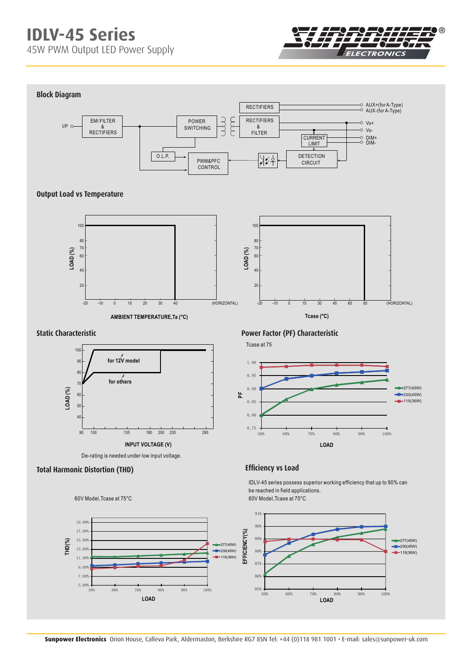